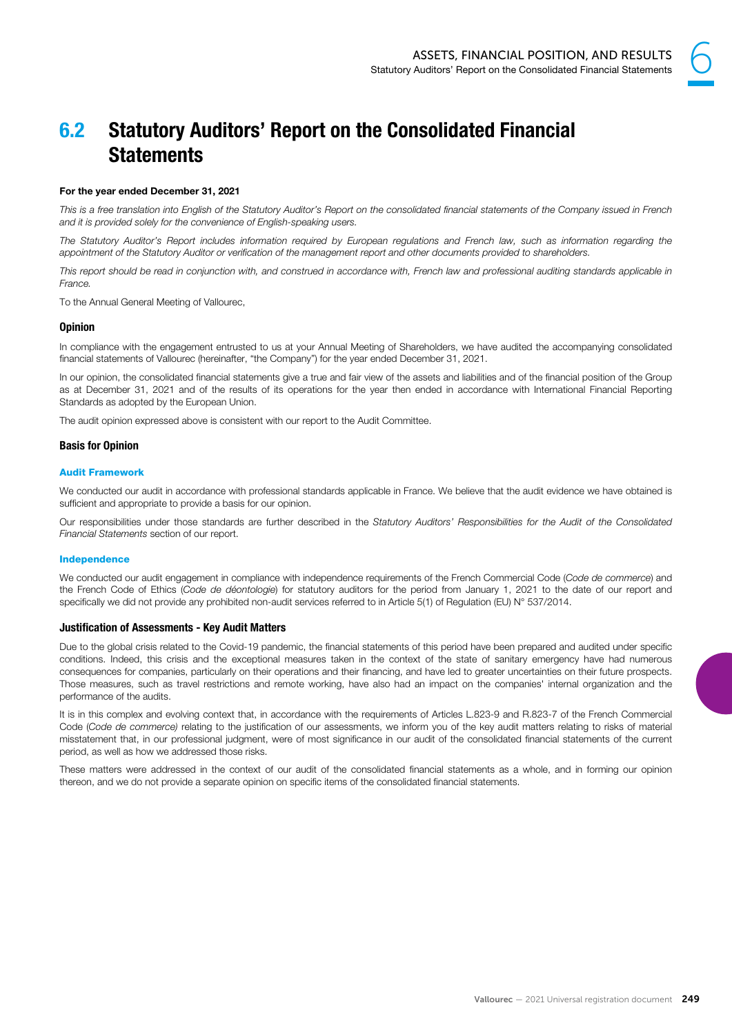

# 6.2 Statutory Auditors' Report on the Consolidated Financial **Statements**

# For the year ended December 31, 2021

This is a free translation into English of the Statutory Auditor's Report on the consolidated financial statements of the Company issued in French and it is provided solely for the convenience of English-speaking users.

The Statutory Auditor's Report includes information required by European regulations and French law, such as information regarding the appointment of the Statutory Auditor or verification of the management report and other documents provided to shareholders.

This report should be read in conjunction with, and construed in accordance with, French law and professional auditing standards applicable in France.

To the Annual General Meeting of Vallourec,

### **Opinion**

In compliance with the engagement entrusted to us at your Annual Meeting of Shareholders, we have audited the accompanying consolidated financial statements of Vallourec (hereinafter, "the Company") for the year ended December 31, 2021.

In our opinion, the consolidated financial statements give a true and fair view of the assets and liabilities and of the financial position of the Group as at December 31, 2021 and of the results of its operations for the year then ended in accordance with International Financial Reporting Standards as adopted by the European Union.

The audit opinion expressed above is consistent with our report to the Audit Committee.

### Basis for Opinion

### Audit Framework

We conducted our audit in accordance with professional standards applicable in France. We believe that the audit evidence we have obtained is sufficient and appropriate to provide a basis for our opinion.

Our responsibilities under those standards are further described in the Statutory Auditors' Responsibilities for the Audit of the Consolidated Financial Statements section of our report.

### Independence

We conducted our audit engagement in compliance with independence requirements of the French Commercial Code (Code de commerce) and the French Code of Ethics (Code de déontologie) for statutory auditors for the period from January 1, 2021 to the date of our report and specifically we did not provide any prohibited non-audit services referred to in Article 5(1) of Regulation (EU) N° 537/2014.

### Justification of Assessments - Key Audit Matters

Due to the global crisis related to the Covid-19 pandemic, the financial statements of this period have been prepared and audited under specific conditions. Indeed, this crisis and the exceptional measures taken in the context of the state of sanitary emergency have had numerous consequences for companies, particularly on their operations and their financing, and have led to greater uncertainties on their future prospects. Those measures, such as travel restrictions and remote working, have also had an impact on the companies' internal organization and the performance of the audits.

It is in this complex and evolving context that, in accordance with the requirements of Articles L.823-9 and R.823-7 of the French Commercial Code (Code de commerce) relating to the justification of our assessments, we inform you of the key audit matters relating to risks of material misstatement that, in our professional judgment, were of most significance in our audit of the consolidated financial statements of the current period, as well as how we addressed those risks.

These matters were addressed in the context of our audit of the consolidated financial statements as a whole, and in forming our opinion thereon, and we do not provide a separate opinion on specific items of the consolidated financial statements.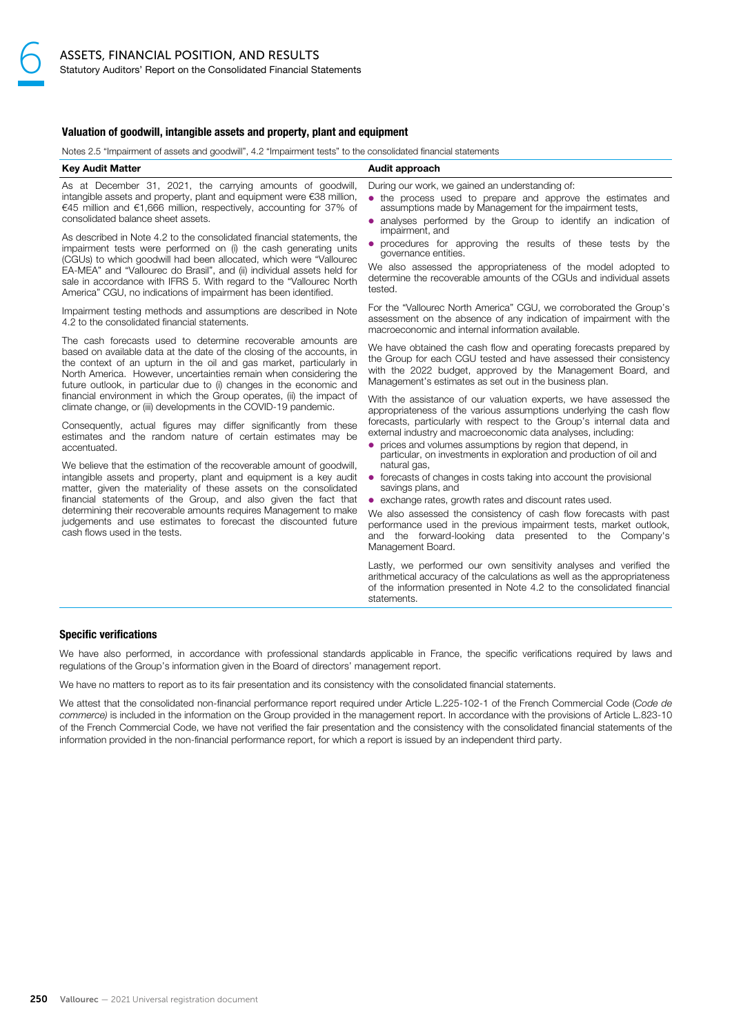### Valuation of goodwill, intangible assets and property, plant and equipment

Notes 2.5 "Impairment of assets and goodwill", 4.2 "Impairment tests" to the consolidated financial statements

| <b>Key Audit Matter</b>                                                                                                                                                                                                                                                                                                                                                                                                                                                                                                                                                                                                                                                                                                                                    | Audit approach                                                                                                                                                                                                                                                                                                                                                                                                                                                                                                                                                                                                                                                                                                                                                                                                              |
|------------------------------------------------------------------------------------------------------------------------------------------------------------------------------------------------------------------------------------------------------------------------------------------------------------------------------------------------------------------------------------------------------------------------------------------------------------------------------------------------------------------------------------------------------------------------------------------------------------------------------------------------------------------------------------------------------------------------------------------------------------|-----------------------------------------------------------------------------------------------------------------------------------------------------------------------------------------------------------------------------------------------------------------------------------------------------------------------------------------------------------------------------------------------------------------------------------------------------------------------------------------------------------------------------------------------------------------------------------------------------------------------------------------------------------------------------------------------------------------------------------------------------------------------------------------------------------------------------|
| As at December 31, 2021, the carrying amounts of goodwill,<br>intangible assets and property, plant and equipment were €38 million,<br>€45 million and €1,666 million, respectively, accounting for 37% of<br>consolidated balance sheet assets.                                                                                                                                                                                                                                                                                                                                                                                                                                                                                                           | During our work, we gained an understanding of:<br>• the process used to prepare and approve the estimates and<br>assumptions made by Management for the impairment tests.<br>• analyses performed by the Group to identify an indication of                                                                                                                                                                                                                                                                                                                                                                                                                                                                                                                                                                                |
| As described in Note 4.2 to the consolidated financial statements, the<br>impairment tests were performed on (i) the cash generating units<br>(CGUs) to which goodwill had been allocated, which were "Vallourec<br>EA-MEA" and "Vallourec do Brasil", and (ii) individual assets held for<br>sale in accordance with IFRS 5. With regard to the "Vallourec North<br>America" CGU, no indications of impairment has been identified.                                                                                                                                                                                                                                                                                                                       | impairment, and<br>• procedures for approving the results of these tests by the<br>governance entities.<br>We also assessed the appropriateness of the model adopted to<br>determine the recoverable amounts of the CGUs and individual assets<br>tested.                                                                                                                                                                                                                                                                                                                                                                                                                                                                                                                                                                   |
| Impairment testing methods and assumptions are described in Note<br>4.2 to the consolidated financial statements.                                                                                                                                                                                                                                                                                                                                                                                                                                                                                                                                                                                                                                          | For the "Vallourec North America" CGU, we corroborated the Group's<br>assessment on the absence of any indication of impairment with the<br>macroeconomic and internal information available.                                                                                                                                                                                                                                                                                                                                                                                                                                                                                                                                                                                                                               |
| The cash forecasts used to determine recoverable amounts are<br>based on available data at the date of the closing of the accounts, in<br>the context of an upturn in the oil and gas market, particularly in<br>North America. However, uncertainties remain when considering the<br>future outlook, in particular due to (i) changes in the economic and                                                                                                                                                                                                                                                                                                                                                                                                 | We have obtained the cash flow and operating forecasts prepared by<br>the Group for each CGU tested and have assessed their consistency<br>with the 2022 budget, approved by the Management Board, and<br>Management's estimates as set out in the business plan.                                                                                                                                                                                                                                                                                                                                                                                                                                                                                                                                                           |
| financial environment in which the Group operates, (ii) the impact of<br>climate change, or (iii) developments in the COVID-19 pandemic.<br>Consequently, actual figures may differ significantly from these<br>estimates and the random nature of certain estimates may be<br>accentuated.<br>We believe that the estimation of the recoverable amount of goodwill,<br>intangible assets and property, plant and equipment is a key audit<br>matter, given the materiality of these assets on the consolidated<br>financial statements of the Group, and also given the fact that<br>determining their recoverable amounts requires Management to make<br>judgements and use estimates to forecast the discounted future<br>cash flows used in the tests. | With the assistance of our valuation experts, we have assessed the<br>appropriateness of the various assumptions underlying the cash flow<br>forecasts, particularly with respect to the Group's internal data and<br>external industry and macroeconomic data analyses, including:<br>• prices and volumes assumptions by region that depend, in<br>particular, on investments in exploration and production of oil and<br>natural gas,<br>• forecasts of changes in costs taking into account the provisional<br>savings plans, and<br>• exchange rates, growth rates and discount rates used.<br>We also assessed the consistency of cash flow forecasts with past<br>performance used in the previous impairment tests, market outlook,<br>and the forward-looking data presented to the Company's<br>Management Board. |
|                                                                                                                                                                                                                                                                                                                                                                                                                                                                                                                                                                                                                                                                                                                                                            | Lastly, we performed our own sensitivity analyses and verified the<br>arithmetical accuracy of the calculations as well as the appropriateness<br>of the information presented in Note 4.2 to the consolidated financial<br>statements.                                                                                                                                                                                                                                                                                                                                                                                                                                                                                                                                                                                     |

### Specific verifications

We have also performed, in accordance with professional standards applicable in France, the specific verifications required by laws and regulations of the Group's information given in the Board of directors' management report.

We have no matters to report as to its fair presentation and its consistency with the consolidated financial statements.

We attest that the consolidated non-financial performance report required under Article L.225-102-1 of the French Commercial Code (Code de commerce) is included in the information on the Group provided in the management report. In accordance with the provisions of Article L.823-10 of the French Commercial Code, we have not verified the fair presentation and the consistency with the consolidated financial statements of the information provided in the non-financial performance report, for which a report is issued by an independent third party.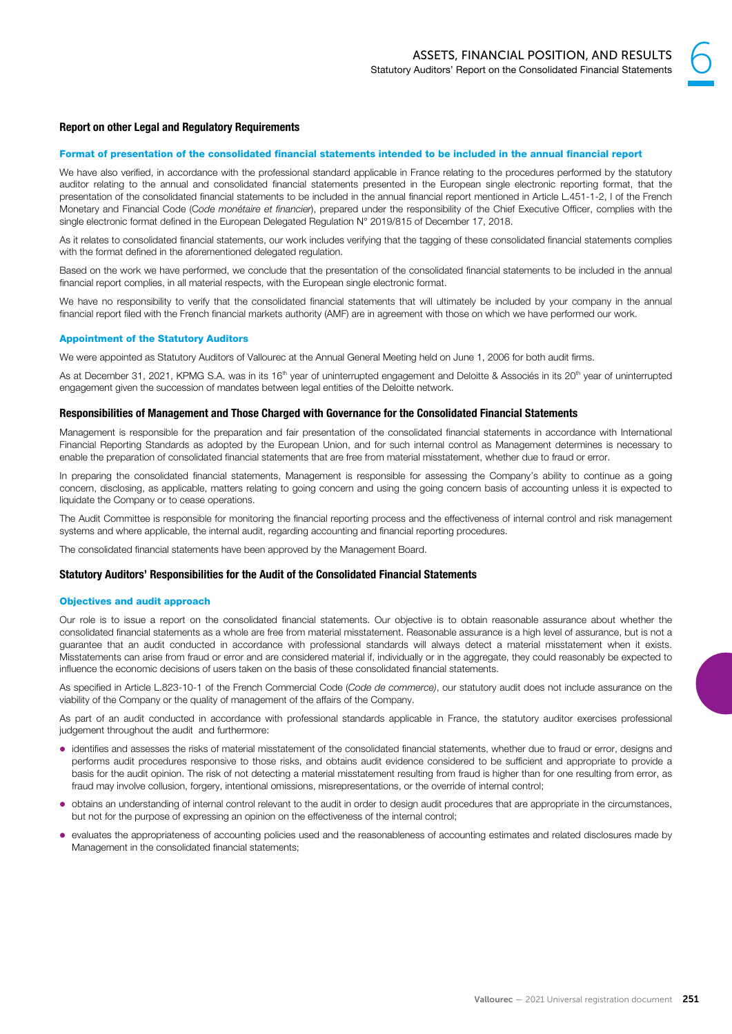# 6

# Report on other Legal and Regulatory Requirements

# Format of presentation of the consolidated financial statements intended to be included in the annual financial report

We have also verified, in accordance with the professional standard applicable in France relating to the procedures performed by the statutory auditor relating to the annual and consolidated financial statements presented in the European single electronic reporting format, that the presentation of the consolidated financial statements to be included in the annual financial report mentioned in Article L.451-1-2, I of the French Monetary and Financial Code (Code monétaire et financier), prepared under the responsibility of the Chief Executive Officer, complies with the single electronic format defined in the European Delegated Regulation N° 2019/815 of December 17, 2018.

As it relates to consolidated financial statements, our work includes verifying that the tagging of these consolidated financial statements complies with the format defined in the aforementioned delegated regulation.

Based on the work we have performed, we conclude that the presentation of the consolidated financial statements to be included in the annual financial report complies, in all material respects, with the European single electronic format.

We have no responsibility to verify that the consolidated financial statements that will ultimately be included by your company in the annual financial report filed with the French financial markets authority (AMF) are in agreement with those on which we have performed our work.

# Appointment of the Statutory Auditors

We were appointed as Statutory Auditors of Vallourec at the Annual General Meeting held on June 1, 2006 for both audit firms.

As at December 31, 2021, KPMG S.A. was in its 16<sup>th</sup> year of uninterrupted engagement and Deloitte & Associés in its 20<sup>th</sup> year of uninterrupted engagement given the succession of mandates between legal entities of the Deloitte network.

# Responsibilities of Management and Those Charged with Governance for the Consolidated Financial Statements

Management is responsible for the preparation and fair presentation of the consolidated financial statements in accordance with International Financial Reporting Standards as adopted by the European Union, and for such internal control as Management determines is necessary to enable the preparation of consolidated financial statements that are free from material misstatement, whether due to fraud or error.

In preparing the consolidated financial statements, Management is responsible for assessing the Company's ability to continue as a going concern, disclosing, as applicable, matters relating to going concern and using the going concern basis of accounting unless it is expected to liquidate the Company or to cease operations.

The Audit Committee is responsible for monitoring the financial reporting process and the effectiveness of internal control and risk management systems and where applicable, the internal audit, regarding accounting and financial reporting procedures.

The consolidated financial statements have been approved by the Management Board.

# Statutory Auditors' Responsibilities for the Audit of the Consolidated Financial Statements

# Objectives and audit approach

Our role is to issue a report on the consolidated financial statements. Our objective is to obtain reasonable assurance about whether the consolidated financial statements as a whole are free from material misstatement. Reasonable assurance is a high level of assurance, but is not a guarantee that an audit conducted in accordance with professional standards will always detect a material misstatement when it exists. Misstatements can arise from fraud or error and are considered material if, individually or in the aggregate, they could reasonably be expected to influence the economic decisions of users taken on the basis of these consolidated financial statements.

As specified in Article L.823-10-1 of the French Commercial Code (Code de commerce), our statutory audit does not include assurance on the viability of the Company or the quality of management of the affairs of the Company.

As part of an audit conducted in accordance with professional standards applicable in France, the statutory auditor exercises professional judgement throughout the audit and furthermore:

- identifies and assesses the risks of material misstatement of the consolidated financial statements, whether due to fraud or error, designs and performs audit procedures responsive to those risks, and obtains audit evidence considered to be sufficient and appropriate to provide a basis for the audit opinion. The risk of not detecting a material misstatement resulting from fraud is higher than for one resulting from error, as fraud may involve collusion, forgery, intentional omissions, misrepresentations, or the override of internal control;
- obtains an understanding of internal control relevant to the audit in order to design audit procedures that are appropriate in the circumstances, but not for the purpose of expressing an opinion on the effectiveness of the internal control;
- evaluates the appropriateness of accounting policies used and the reasonableness of accounting estimates and related disclosures made by Management in the consolidated financial statements;